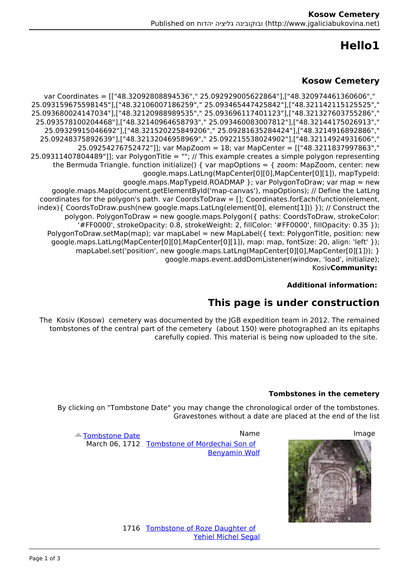# **1Hello**

### **Kosow Cemetery**

var Coordinates = [["48.32092808894536"," 25.092929005622864"],["48.320974461360606"," ","48.321142115125525"],["25.093465447425842 ","48.32106007186259"],["25.093159675598145 ","48.321327603755286"],["25.093696117401123 ","48.32120988989535"],["25.093680024147034 ","48.32144175026913"],["25.093460083007812 ","48.32140964658793"],["25.093578100204468 25.09329915046692"],["48.321520225849206"," 25.09281635284424"],["48.3214916892886"," 25.09248375892639"],["48.32132046958969"," 25.092215538024902"],["48.32114924931606"," 25.09254276752472"]]; var MapZoom = 18; var MapCenter = [["48.3211837997863"," 25.09311407804489"]]; var Polygon Title = ""; // This example creates a simple polygon representing the Bermuda Triangle. function initialize() { var mapOptions = { zoom: MapZoom, center: new google.maps.LatLng(MapCenter[0][0],MapCenter[0][1]), mapTypeId: google.maps.MapTypeId.ROADMAP }; var PolygonToDraw; var map = new google.maps.Map(document.getElementById('map-canyas'), mapOptions): // Define the LatLng coordinates for the polygon's path. var CoordsToDraw =  $[]$ ; Coordinates for Each (function (element,  $index$ } { CoordsToDraw, push(new google, maps. LatLng(element[0], element[1])) }); // Construct the  $polygon.$  PolygonToDraw = new google.maps.Polygon( $\{$  paths: CoordsToDraw, strokeColor: '#FF0000', strokeOpacity: 0.8, strokeWeight: 2, fillColor: '#FF0000', fillOpacity: 0.35 }); PolygonToDraw.setMap(map); var mapLabel = new MapLabel( $\{$  text: PolygonTitle, position: new google.maps.LatLng(MapCenter[0][0],MapCenter[0][1]), map: map, fontSize: 20, align: 'left' }); mapLabel.set('position', new google.maps.LatLng(MapCenter[0][0],MapCenter[0][1])); } google.maps.event.addDomListener(window, 'load', initialize);  **:**Kosiv**Community**

#### **Additional information:**

## **This page is under construction**

The Kosiv (Kosow) cemetery was documented by the JGB expedition team in 2012. The remained tombstones of the central part of the cemetery (about 150) were photographed an its epitaphs carefully copied. This material is being now uploaded to the site.

#### **Tombstones in the cemetery**

By clicking on "Tombstone Date" you may change the chronological order of the tombstones. Gravestones without a date are placed at the end of the list

**Benyamin Wolf** 

I



 [Date Tombstone](http://www.jgaliciabukovina.net/he/printpdf/160392?page=14&order=field_shared_approxidate&sort=desc) Image Name March 06, 1712 Tombstone of Mordechai Son of

1716 Tombstone of Roze Daughter of Yehiel Michel Segal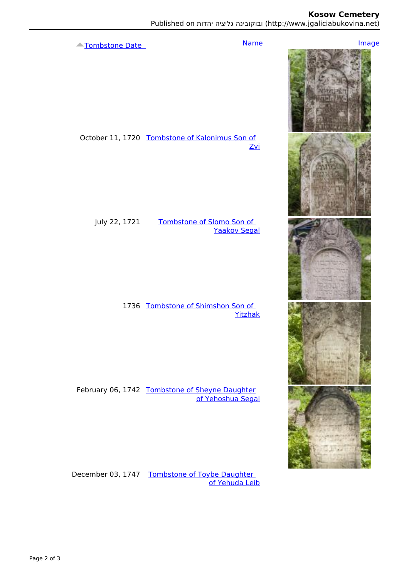### **Kosow Cemetery**

I

Published on ובוקובינה גליציה יהדות (http://www.jgaliciabukovina.net)

 Date Tombstone Image Name I, Ļ October 11, 1720 Tombstone of Kalonimus Son of **Zvi** I July 22, 1721 Tombstone of Slomo Son of **Yaakov Segal** I 1736 Tombstone of Shimshon Son of Yitzhak February 06, 1742 Tombstone of Sheyne Daughter of Yehoshua Segal

December 03, 1747 Tombstone of Toybe Daughter of Yehuda Leib